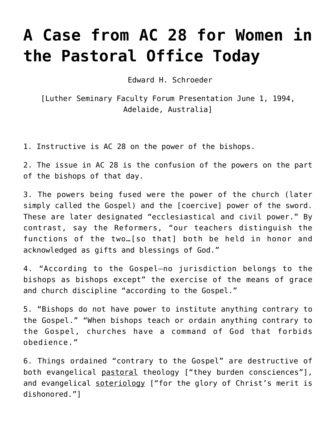## **[A Case from AC 28 for Women in](https://crossings.org/women-in-the-pastoral-office/) [the Pastoral Office Today](https://crossings.org/women-in-the-pastoral-office/)**

Edward H. Schroeder

[Luther Seminary Faculty Forum Presentation June 1, 1994, Adelaide, Australia]

1. Instructive is AC 28 on the power of the bishops.

2. The issue in AC 28 is the confusion of the powers on the part of the bishops of that day.

3. The powers being fused were the power of the church (later simply called the Gospel) and the [coercive] power of the sword. These are later designated "ecclesiastical and civil power." By contrast, say the Reformers, "our teachers distinguish the functions of the two…[so that] both be held in honor and acknowledged as gifts and blessings of God."

4. "According to the Gospel—no jurisdiction belongs to the bishops as bishops except" the exercise of the means of grace and church discipline "according to the Gospel."

5. "Bishops do not have power to institute anything contrary to the Gospel." "When bishops teach or ordain anything contrary to the Gospel, churches have a command of God that forbids obedience."

6. Things ordained "contrary to the Gospel" are destructive of both evangelical pastoral theology ["they burden consciences"], and evangelical soteriology ["for the glory of Christ's merit is dishonored."]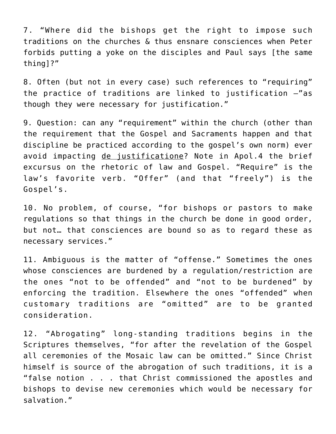7. "Where did the bishops get the right to impose such traditions on the churches & thus ensnare consciences when Peter forbids putting a yoke on the disciples and Paul says [the same thing]?"

8. Often (but not in every case) such references to "requiring" the practice of traditions are linked to justification —"as though they were necessary for justification."

9. Question: can any "requirement" within the church (other than the requirement that the Gospel and Sacraments happen and that discipline be practiced according to the gospel's own norm) ever avoid impacting de justificatione? Note in Apol.4 the brief excursus on the rhetoric of law and Gospel. "Require" is the law's favorite verb. "Offer" (and that "freely") is the Gospel's.

10. No problem, of course, "for bishops or pastors to make regulations so that things in the church be done in good order, but not… that consciences are bound so as to regard these as necessary services."

11. Ambiguous is the matter of "offense." Sometimes the ones whose consciences are burdened by a regulation/restriction are the ones "not to be offended" and "not to be burdened" by enforcing the tradition. Elsewhere the ones "offended" when customary traditions are "omitted" are to be granted consideration.

12. "Abrogating" long-standing traditions begins in the Scriptures themselves, "for after the revelation of the Gospel all ceremonies of the Mosaic law can be omitted." Since Christ himself is source of the abrogation of such traditions, it is a "false notion . . . that Christ commissioned the apostles and bishops to devise new ceremonies which would be necessary for salvation."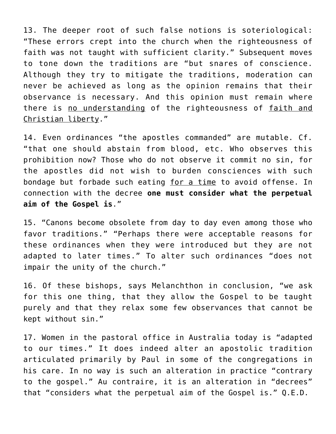13. The deeper root of such false notions is soteriological: "These errors crept into the church when the righteousness of faith was not taught with sufficient clarity." Subsequent moves to tone down the traditions are "but snares of conscience. Although they try to mitigate the traditions, moderation can never be achieved as long as the opinion remains that their observance is necessary. And this opinion must remain where there is no understanding of the righteousness of faith and Christian liberty."

14. Even ordinances "the apostles commanded" are mutable. Cf. "that one should abstain from blood, etc. Who observes this prohibition now? Those who do not observe it commit no sin, for the apostles did not wish to burden consciences with such bondage but forbade such eating for a time to avoid offense. In connection with the decree **one must consider what the perpetual aim of the Gospel is**."

15. "Canons become obsolete from day to day even among those who favor traditions." "Perhaps there were acceptable reasons for these ordinances when they were introduced but they are not adapted to later times." To alter such ordinances "does not impair the unity of the church."

16. Of these bishops, says Melanchthon in conclusion, "we ask for this one thing, that they allow the Gospel to be taught purely and that they relax some few observances that cannot be kept without sin."

17. Women in the pastoral office in Australia today is "adapted to our times." It does indeed alter an apostolic tradition articulated primarily by Paul in some of the congregations in his care. In no way is such an alteration in practice "contrary to the gospel." Au contraire, it is an alteration in "decrees" that "considers what the perpetual aim of the Gospel is." Q.E.D.